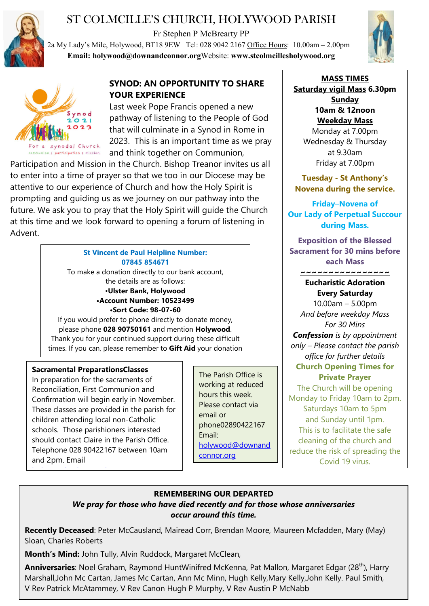

# ST COLMCILLE'S CHURCH, HOLYWOOD PARISH

Fr Stephen P McBrearty PP







## **SYNOD: AN OPPORTUNITY TO SHARE YOUR EXPERIENCE**

Last week Pope Francis opened a new pathway of listening to the People of God that will culminate in a Synod in Rome in 2023. This is an important time as we pray and think together on Communion,

Participation and Mission in the Church. Bishop Treanor invites us all to enter into a time of prayer so that we too in our Diocese may be attentive to our experience of Church and how the Holy Spirit is prompting and guiding us as we journey on our pathway into the future. We ask you to pray that the Holy Spirit will guide the Church at this time and we look forward to opening a forum of listening in Advent. COLMCILLE'S CHURCH, HOLYWOOD PARISH<br>
F's Mile, Holywood, BTI's typhen PMcBerarty PP<br>
F's Mile, Holywood@downandeonnor.org Website: www.steolmeillesholywood.org<br>
altholywood@downandeonnor.org Website: www.steolmeillesholyw

### **St Vincent de Paul Helpline Number: 07845 854671**

To make a donation directly to our bank account, the details are as follows: •**Ulster Bank, Holywood •Account Number: 10523499 •Sort Code: 98 98-07-60** If you would prefer to phone directly to donate money,

please phone **028 90750161** and mention **Holywood**. Thank you for your continued support during these difficult times. If you can, please remember to **Gift Aid** your donation

### **Sacramental PreparationsClasses**

holywood and an anti-series and an anti-series and an anti-series and an anti-series and an anti-series and an<br>Series and an anti-series and an anti-series and an anti-series and an anti-series and an anti-series and an

In preparation for the sacraments of Reconciliation, First Communion and Confirmation will begin early in November. These classes are provided in the parish for children attending local non-Catholic schools. Those parishioners interested should contact Claire in the Parish Office. Telephone 028 90422167 between 10am and 2pm. Email

The Parish Office is working at reduced hours this week. Please contact via email or phone02890422167 Email: holywood@downand connor.org

**Saturday vigil Mass 6.30pm MASS TIMES Sunday 10am & 12noon Weekday Mass** Monday at 7.00pm

Wednesday & Thursday<br>at 9.30am Friday at 7.00pm

**Tuesday - St Anthony's Novena during the service. Novena during** 

**Our Lady of Perpetual Succour Succourduring Mass. Friday**–**Novena of** 

**Exposition of the Blessed Sacrament for 30 mins before mins before each Mass**

**~~~~~~~~~~~~~~~~**

### **Eucharistic Adoration Every Saturday**

*And before weekday Mass Confession Confession is by appointment only – Please contact the parish office for further details* **Church Opening Times for Church Opening Private Prayer** The Church will be opening Monday to Friday 10am to 2pm. Saturdays 10am to 5pm and Sunday until 1pm. This is to facilitate the safe cleaning of the church and reduce the risk of spreading the 10.00am – 5.00pm *For 30 Mins* The Church will be openin<br>2 onday to Friday 10am to<br>Saturdays 10am to 5pm is to facilitate the safe<br>hing of the church and<br>the risk of spreading tl<br>Covid 19 virus.

# **REMEMBERING OUR DEPARTED**

### *We pray for those who have died recently and for those whose anniversaries We pray those who those whose anniversaries occur around this time.*

Recently Deceased: Peter McCausland, Mairead Corr, Brendan Moore, Maureen Mcfadden, Mary (May) Sloan, Charles Roberts

**Month's Mind:** John Tully, Alvin Ruddock, Margaret McClean,

**Anniversaries**: Noel Graham, Raymond HuntWinifred McKenna, Pat Mallon, Margaret Edgar (28<sup>th</sup>), Harry Marshall,John Mc Cartan, James Mc Cartan, Ann Mc Minn, Hugh Kelly,Mary Kelly,John Kelly. Paul Smith, V Rev Patrick McAtammey, V Rev Canon Hugh P Murphy Murphy, V Rev Austin P McNabb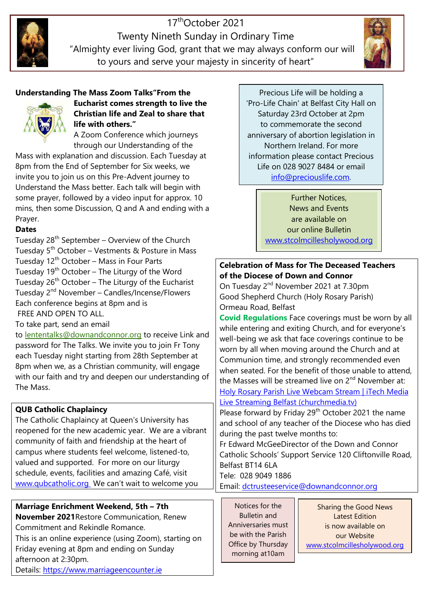

Twenty Nine Nineth Sunday in Ordinary Time "Almighty ever living God, grant that we may always conform our will to yours and serve your majesty in sincerity of heart" 17thOctober 2021



Precious Life will be holding a 'Pro-Life Chain' at Belfast City Hall on Saturday 23rd October at 2pm to commemorate the second Pro-Life Chain' at Belfast City Hall on<br>Saturday 23rd October at 2pm<br>to commemorate the second<br>anniversary of abortion legislation in Northern Ireland. For more information please contact Precious Life on 028 9027 8484 or email on 028 9027 8484 or email<br><u>info@preciouslife.com</u>.

> Further Notices, News and Events are available on our online Bulletin our online Bulletin<br>www.stcolmcillesholywood.org

### **Celebration of Mass for The Deceased Teachers<br>of the Diocese of Down and Connor of the Diocese of Down and Connor**

On Tuesday 2<sup>nd</sup> November 2021 at 7.30pm Good Shepherd Church (Holy Rosary Parish) Ormeau Road, Belfast

**Covid Regulations** Face coverings must be worn by all while entering and exiting Church, and for everyone's well-being we ask that face coverings continue to be worn by all when moving around the Church and at Communion time, and strongly recommended even when seated. For the benefit of those unable to attend, the Masses will be streamed live on  $2<sup>nd</sup>$  November at: Holy Rosary Parish Live Webcam Stream | iTech Media Live Streaming Belfast (churchmedia.tv) <u>Live Streaming Belfast (churchmedia.tv)</u><br>Please forward by Friday 29<sup>th</sup> October 2021 the name Unity of Movember 2021 at 7.30pm<br>
d Shepherd Church (Holy Rosary Parish)<br>
eau Road, Belfast<br> **d Regulations** Face coverings must be worn by a<br>
entering and exiting Church, and for everyone's<br>
being we ask that face coveri

and school of any teacher of the Diocese who has died during the past twelve months to:

Fr Edward McGeeDirector of the Down and Connor Catholic Schools' Support Service 120 Cliftonville Road, Belfast BT14 6LA nool of any teacher of the Diocese who has d<br>the past twelve months to:<br>ard McGeeDirector of the Down and Connor<br>c Schools' Support Service 120 Cliftonville Rc<br>BT14 6LA<br>28 9049 1886<br><u>dctrusteeservice@downandconnor.org</u><br>tic

Tele: 028 9049 1886

Email: dctrusteeservice@downandconnor.org

Notices for the Bulletin and Anniversaries must be with the Parish Office by Thursday morning at10am

www.stcolmcillesholywood.org Latest Edition is now available on our Website

# invite you to join us on this Pre-Advent journey to Understand the Mass better. Each talk will begin with

some prayer, followed by a video input for approx. 10 mins, then some Discussion, Q and A and ending with a Prayer.

Mass with explanation and discussion. Each Tuesday at 8pm from the End of September for Six weeks, we

**Understanding The Mass Zoom Talks"From the** 

**life with others."** 

**Eucharist comes strength to live the Christian life and Zeal to share that** 

A Zoom Conference which journeys through our Understanding of the

### **Dates**

Tuesday  $28<sup>th</sup>$  September – Overview of the Church Tuesday 5th October – Vestments & Posture in Mass Tuesday  $12<sup>th</sup>$  October – Mass in Four Parts Tuesday  $19<sup>th</sup>$  October – The Liturgy of the Word Tuesday  $26<sup>th</sup>$  October – The Liturgy of the Eucharist Tuesday 2<sup>nd</sup> November – Candles/Incense/Flowers Each conference begins at 8pm and is FREE AND OPEN TO ALL. "Almighty ever living<br>to yours and s<br>and the visual of the Mass Zoom Talks<br>Eucharist comes strem<br>Christian life and Zeal<br>life with others."<br>A Zoom Conference where the velocition of the Universal<br>also with explanation and

### To take part, send an email

to lententalks@downandconnor.org to receive Link and password for The Talks. We invite you to join Fr Tony each Tuesday night starting from 28th September at 8pm when we, as a Christian community, will engage with our faith and try and deepen our understanding of The Mass.

# **QUB Catholic Chaplaincy**

The Catholic Chaplaincy at Queen's University has reopened for the new academic year. We are a vibrant community of faith and friendship at the heart of campus where students feel welcome, listened-to, valued and supported. For more on our liturgy schedule, events, facilities and amazing Café, visit [www.qubcatholic.org](https://downandconnor-my.sharepoint.com/personal/holywood_downandconnor_org/Documents/Holywood Parish Documents/Bulletin Notices/2021/www.qubcatholic.org) We can't wait to welcome you

# **Marriage Enrichment Weekend, 5th – 7th**

**November 2021**Restore Communication, Renew Commitment and Rekindle Romance. This is an online experience (using Zoom), starting on Friday evening at 8pm and ending on Sunday afternoon at 2:30pm. Details: [https://www.marriageencounter.ie](https://protect-eu.mimecast.com/s/6wZDCgkELSlQoJiNnT61?domain=marriageencounter.ie/)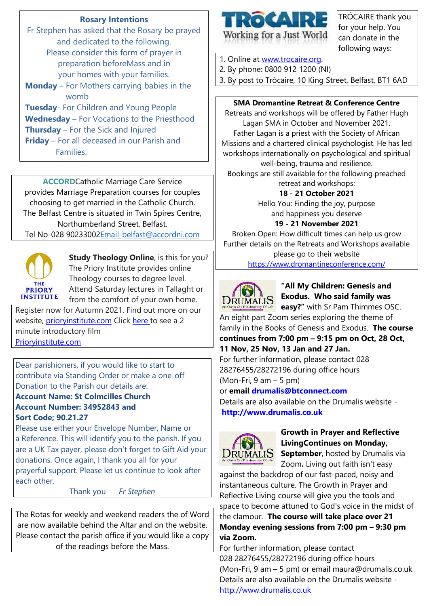### **Rosary Intentions**

Fr Stephen has asked that the Rosary be prayed and dedicated to the following. Please consider this form of prayer in preparation beforeMass and in your homes with your families. **Monday** – For Mothers carrying babies in the womb **Tuesday**- For Children and Young People **Wednesday** – For Vocations to the Priesthood **Thursday** – For the Sick and Injured **Friday** – For all deceased in our Parish and Families.

**ACCORD**Catholic Marriage Care Service provides Marriage Preparation courses for couples choosing to get married in the Catholic Church. The Belfast Centre is situated in Twin Spires Centre, Northumberland Street, Belfast. Tel No-028 90233002<u>Email-belfast@accordni.com</u>



**Study Theology Online**, is this for you? The Priory Institute provides online Theology courses to degree level. Attend Saturday lectures in Tallaght or from the comfort of your own home.

Register now for Autumn 2021. Find out more on our website, <u>[prioryinstitute.com](https://prioryinstitute-dot-yamm-track.appspot.com/Redirect?ukey=1AF0fclBoFdhvCIpdME1IskvIEiknnIUxM3Gf_oUs4N8-0&key=YAMMID-65944776&link=http%3A%2F%2Fprioryinstitute.com)</u> Click <u>[here](https://prioryinstitute-dot-yamm-track.appspot.com/Redirect?ukey=1AF0fclBoFdhvCIpdME1IskvIEiknnIUxM3Gf_oUs4N8-0&key=YAMMID-65944776&link=https%3A%2F%2Fwww.youtube.com%2Fwatch%3Fv%3DrBTihoErXXo%26t%3D35s) t</u>o see a 2 minute introductory film [Prioryinstitute.com](https://prioryinstitute-dot-yamm-track.appspot.com/Redirect?ukey=1AF0fclBoFdhvCIpdME1IskvIEiknnIUxM3Gf_oUs4N8-0&key=YAMMID-65944776&link=http%3A%2F%2FPrioryinstitute.com)

Dear parishioners, if you would like to start to Dear parishioners, if you would like to start to<br>contribute via Standing Order or make a one-off Donation to the Parish our details are:

### **Account Name: St Colmcilles Church Account Number: 34952843 and Sort Code; 90.21.27**

Please use either your Envelope Number, Name or a Reference. This will identify you to the parish. If you are a UK Tax payer, please don't forget to Gift Aid your donations. Once again, I thank you all for your prayerful support. Please let us continue to look after each other.

Thank you *Fr Stephen*

The Rotas for weekly and weekend readers the of Word are now available behind the Altar and on the website. Please contact the parish office if you would like a copy of the readings before the Mass.



TRÓCAIRE thank you for your help. You can donate in the following ways:

1. Online at www.trocaire.org.

2. By phone: 0800 912 1200 (NI)

3. By post to Trócaire, 10 King Street, Belfast, BT1 6AD

#### **SMA Dromantine Retreat Retreat & Conference Centre**

Retreats and workshops will be offered by Father Hugh Lagan SMA in October and November 2021. Father Lagan is a priest with the Society of African Missions and a chartered clinical psychologist. He has led workshops internationally on psychological and spiritual well-being, trauma and resilience.

Bookings are still available for the following preached retreat and workshops:

#### **18 - 21 October October 2021**

Hello You: Finding the joy, purpose and happiness you deserve

#### **19 - 21 November November 2021**

Broken Open: How difficult times can help us grow Further details on the Retreats and Workshops available

> please go to their website https://www.dromantineconference.com/



### **"All My Children: Genesis and Exodus. Who said family was**

**easy?"** with Sr Pam Thimmes OSC.

An eight part Zoom series exploring the theme of family in the Books of Genesis and Exodus. **The course continues from 7:00 pm – 9:15 pm on Oct, 28 Oct,**

### **11 Nov, 25 Nov, 13 Jan and 27 Jan.**

For further information, please contact 028 For further information, please contact 028<br>28276455/28272196 during office hours (Mon-Fri, 9 am – 5 pm)

or **email drumalis@btconnect.com drumalis@btconnect.com**

Details are also available on the Drumalis website **http://www.drumalis.co.uk**



**Growth in Prayer and Reflective LivingCo Continues on Monday, September September**, hosted by Drumalis via

Zoom. Living out faith isn't easy against the backdrop of our fast-paced, noisy and instantaneous culture. The Growth in Prayer and Reflective Living course will give you the tools and space to become attuned to God's voice in the midst of the clamour. **The course will take place over 21 Monday evening sessions sessions from 7:00 pm – 9:30 pm via Zoom.**

For further information, please contact 028 28276455/28272196 during office hours (Mon-Fri, 9 am – 5 pm) or email maura@drumalis.co.uk Details are also available on the Drumalis website [http://www.drumalis.co.uk](http://www.drumalis.co.uk/)